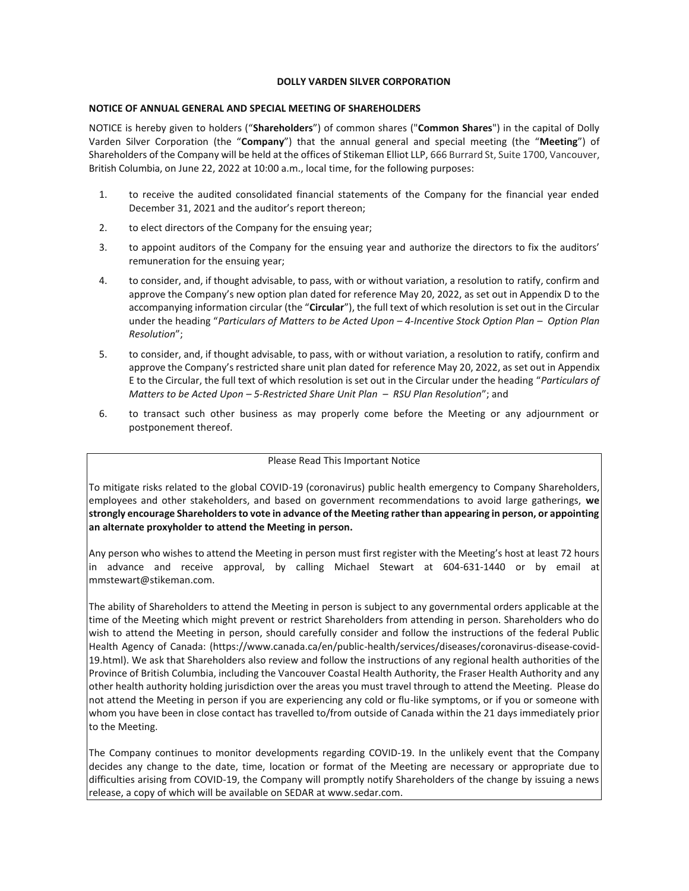## **DOLLY VARDEN SILVER CORPORATION**

## **NOTICE OF ANNUAL GENERAL AND SPECIAL MEETING OF SHAREHOLDERS**

NOTICE is hereby given to holders ("**Shareholders**") of common shares ("**Common Shares**") in the capital of Dolly Varden Silver Corporation (the "**Company**") that the annual general and special meeting (the "**Meeting**") of Shareholders of the Company will be held at the offices of Stikeman Elliot LLP, 666 Burrard St, Suite 1700, Vancouver, British Columbia, on June 22, 2022 at 10:00 a.m., local time, for the following purposes:

- 1. to receive the audited consolidated financial statements of the Company for the financial year ended December 31, 2021 and the auditor's report thereon;
- 2. to elect directors of the Company for the ensuing year;
- 3. to appoint auditors of the Company for the ensuing year and authorize the directors to fix the auditors' remuneration for the ensuing year;
- 4. to consider, and, if thought advisable, to pass, with or without variation, a resolution to ratify, confirm and approve the Company's new option plan dated for reference May 20, 2022, as set out in Appendix D to the accompanying information circular (the "**Circular**"), the full text of which resolution is set out in the Circular under the heading "*Particulars of Matters to be Acted Upon – 4-Incentive Stock Option Plan – Option Plan Resolution*";
- 5. to consider, and, if thought advisable, to pass, with or without variation, a resolution to ratify, confirm and approve the Company's restricted share unit plan dated for reference May 20, 2022, as set out in Appendix E to the Circular, the full text of which resolution is set out in the Circular under the heading "*Particulars of Matters to be Acted Upon – 5-Restricted Share Unit Plan – RSU Plan Resolution*"; and
- 6. to transact such other business as may properly come before the Meeting or any adjournment or postponement thereof.

## Please Read This Important Notice

To mitigate risks related to the global COVID-19 (coronavirus) public health emergency to Company Shareholders, employees and other stakeholders, and based on government recommendations to avoid large gatherings, **we strongly encourage Shareholders to vote in advance of the Meeting rather than appearing in person, or appointing an alternate proxyholder to attend the Meeting in person.**

Any person who wishes to attend the Meeting in person must first register with the Meeting's host at least 72 hours in advance and receive approval, by calling Michael Stewart at 604-631-1440 or by email at mmstewart@stikeman.com.

The ability of Shareholders to attend the Meeting in person is subject to any governmental orders applicable at the time of the Meeting which might prevent or restrict Shareholders from attending in person. Shareholders who do wish to attend the Meeting in person, should carefully consider and follow the instructions of the federal Public Health Agency of Canada: (https://www.canada.ca/en/public-health/services/diseases/coronavirus-disease-covid-19.html). We ask that Shareholders also review and follow the instructions of any regional health authorities of the Province of British Columbia, including the Vancouver Coastal Health Authority, the Fraser Health Authority and any other health authority holding jurisdiction over the areas you must travel through to attend the Meeting. Please do not attend the Meeting in person if you are experiencing any cold or flu-like symptoms, or if you or someone with whom you have been in close contact has travelled to/from outside of Canada within the 21 days immediately prior to the Meeting.

The Company continues to monitor developments regarding COVID-19. In the unlikely event that the Company decides any change to the date, time, location or format of the Meeting are necessary or appropriate due to difficulties arising from COVID-19, the Company will promptly notify Shareholders of the change by issuing a news release, a copy of which will be available on SEDAR at www.sedar.com.